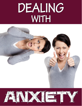# DEALING WITH



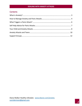## **Contents**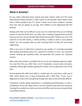## <span id="page-2-0"></span>**What is Anxiety?**

Do you really understand what anxiety and panic attacks really are? The name Generalized Anxiety Disorder or GAD is given to this disorder which affects more than 6 million people in the U.S. alone. It seems to be more rampant in women than men and can appear at any age. Even children can be diagnosed with this disorder.

Dealing with GAD can be difficult as you may not understand why you are feeling anxious or worried all the time. You often have a feeling of apprehension and find that you are over concerned with daily things that shouldn't bother you at all. This could be to do with money, a family member, trouble at work or your general health. You may actually wake up each morning fearful of what the day ahead might bring.

GAD is not a term or label that is pinned on you quickly. It is normally associated after dealing with being anxious for a period of 6 months or more. You may have trouble relaxing, get spooked easily and generally feel anxious for unknown reasons.

Other signs that anxiety is a problem for you can be not sleeping properly at night. You may find that you suffer from a lot of headaches, muscle aches and pains, sweating, feeling light headed, getting the shakes and are generally tired all the time.

No two people will suffer from GAD in a similar way. You may have a mild case of GAD, which allows you to keep functioning with a little help. If your case is diagnosed as severe then just getting through each day can be extremely difficult.

Treatments include taking medications or undergoing psychotherapy, or even a combination of the two. Again there is no one treatment that works for everyone. Treating this condition can take some time and effort and have you trying all kinds of possible solutions.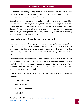The problem with taking anxiety medications is that they can have serious side effects. These include being tired all the time, dealing with impaired balance, possible memory loss and some can be addictive.

Counseling has helped many people and this mainly consists of just talking things out with someone. This way you can try to identify the underlying cause of what is making you anxious. This type of therapy is referred to as cognitive behavioral therapy. The purpose of this therapy is to help you root out the main cause and then teach you management skills. Many times this just consists of replacing negative thoughts with positive ones.

## <span id="page-3-0"></span>**How to Manage Anxiety and Panic Attacks**

An anxiety attack normally creeps up on you unexpectedly, all of a sudden you burst into a panic. Many times this happens for no justifiable reason at all. It may have been some trivial thing that caused a panic or anxiety attack to start in the first place. Knowing how to deal with these attacks will make a huge difference in your life.

An anxiety attack is classified as an uncontrollable reaction to a situation. This can happen when you are asked to do something that you are not comfortable with. Like talking in front of a group of people or having to take an elevator. These experiences of panic can affect all areas of your life, including relationships, your happiness and your peace of mind.

If you are having an anxiety attack you may be showing any of the following symptoms:

- Increased heart rate
- Feeling panicked
- Uncontrollable shaking
- Feeling hot

Diana Walker Healthy Lifestyles [www.diana1.com/anxiety](http://www.diana1.com/anxiety) [sunridermom@gmail.com](mailto:sunridermom@gmail.com)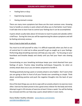- Feeling faint or dizzy
- Experiencing nauseous
- Having stomach cramps

There are many more symptoms but these are the most common ones. Knowing how to handle an anxiety or panic attack will allow you to feel better much faster. It will take time to learn how to control your feelings but it can be accomplished.

A panic attack usually takes about 10 minutes to reach its peak and subsides within a half hour. During this time you will be experiencing the above symptoms and will be feeling extremely anxious.

#### Here is how to deal with an attack:

You must try to tell yourself to relax. It is difficult especially when you feel so out of control but it is vital not to allow yourself to get so caught up in your feelings. Performing deep breathing exercises will help you stay calm. Try focusing on your heartbeat and breathe deeply and slowly until you feel your heart rate slowing down.

Concentrating on your breathing technique keeps your mind diverted from your feelings of panic. Practice deep breathing techniques frequently. So when an anxiety attack does occur you are better prepared to handle it.

Thinking positively during a panic or anxiety attack is very helpful. Don't worry that you are going to faint in front of all your friends over something so simple. Think about something positive and push the negative thoughts into the back of your mind.

One of the best things you can do to cope with an anxiety attack is to exercise more often. Exercise has been proven to be a great stress reliever for the body and mind. Attempt to get in 30 minutes of exercise at least 3 times a week. You will be feeling less stressed and this can help stop a panic attack before it even starts.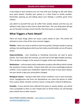It also helps to have someone you can trust with your feelings to talk with about your panic attacks. Possibly your spouse or a close friend or family member. Remember opening up and talking about your feelings is another great stress reliever.

Just admit to yourself that you do suffer from anxiety attacks and that you are willing to take steps to learn how to deal with them. This one thing alone will get you on the path to living a stress free life, free from panic or anxiety attacks.

## <span id="page-5-0"></span>**What Triggers a Panic Attack?**

There are many things which can cause a panic attack to start. This article will attempt to cover a few of the most common triggers.

**Phobias** – these can cause an attack to start very quickly. Having to speak in a group setting or do anything about which you feel really uncomfortable can set off a panic attack.

**Hyperventilating** – over breathing or breathing incorrectly can lead to panic attacks. Your heart beat will increase, you will start to feel light headed and dizzy. This is all due to changes in the amount of oxygen within your bloodstream.

**Medications** – unfortunately many medications produce side effects which include the symptoms of panic attacks. Trying to deal with one issue unwittingly produces another. If you suspect your medication might be the cause of your panic attacks, see your doctor to get your prescription changed.

**Biological reasons** – having to deal with certain conditions such as post-traumatic stress, hypoglycemia and inner ear disturbances can cause the person to suffer from a panic attack. Another common reason is living with a Vitamin B deficiency.

**Heredity** – if your parents have suffered from panic or anxiety attacks, you will be more susceptible to them as well. People with no family history can still develop panic attacks due to other reasons.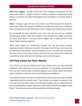**Short term triggers** – having to deal with a life changing circumstance can also cause panic attacks. Losing a loved one, ending a long term relationship, taking drugs or stimulants and other life changing issues can bring on an anxiety attack at any time.

**Stress** – trying to cope with too much stress in your life can signal the onset of a panic attack. When life just gets too difficult to handle your body reacts in different ways. Learning how to deal with stress is vital in leading a life without panic attacks.

No two people are alike and that is very true in the way any one can suddenly develop panic attacks. With some people it may only take one trigger to bring on an attack. With others it may take several triggers over a longer period of time before attacks become apparent.

While some people are emotionally stronger and can deal with traumatic experiences better. Others are not and it is through no fault of your own if you start to experience panic attacks. The best thing you can do is to learn how to pinpoint the exact cause of your panic attacks. From here you can learn how to effectively cope with an attack and continue leading a more normal life again.

## <span id="page-6-0"></span>**Self Help Advice for Panic Attacks**

If you think you may be suffering from panic attacks there are some self-help treatments that could prove to be very beneficial. It is also highly recommended that you seek medical help to properly diagnose your attacks. Many times panic attack symptoms can be the onset of something entirely different.

You need to be aware that you are suffering from a panic attack, this alone will help make dealing with the attack easier. Panic attacks can happen to anyone at any time and more than likely without any warning. Though once you understand why you are suffering from a panic attack you will be able to identify the trigger of your attack. This allows you to be more prepared for an attack to begin.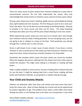There are many causes of panic attacks from chemical imbalances to poor diet to environmental concerns. No one fully understands the causes, they only acknowledge that certain events or emotions cause a person to have a panic attack.

During a panic attack your heart is beating rapidly and you will probably be feeling dizzy, light headed and even nauseous. The first thing you want to do is slow your heart rate down. This can be done by concentrating on breathing deeply. Attempt to breathe in for three counts and then out for three. This deep breathing technique also takes your focus off the panic attack allowing it to be over sooner.

While experiencing a panic attack you must also try to remain calm. Even though your emotions and your body is feeling panicked. You are not going crazy, you are not going to die or collapse in a heap on the floor. Think positively, you will get through this, it will be over in a few minutes.

Stress is well known to be a major cause of panic attacks. If you know a certain situation or even a certain person that makes you feel stressed out, attempt to stay away from them. Avoid unnecessary stressful situations if at all possible.

Sometimes the situation which causes the panic attack just cannot be avoided. When this happens the person suffering from the attack must learn other ways to handle the situation. This might mean talking to a therapist or reading self-help books.

Help is readily available in various forms, the key is finding which method will work for you the best. It might be seeking help from a close friend, reading self-help books and treatment methods, or just going for a weekly relaxing massage.

## <span id="page-7-0"></span>**Your Child and Anxiety Attacks**

Children can definitely suffer from fears and anxiety and many times they don't know the reason why. Most of these feelings are normal and can be experienced by anyone regardless of age. The problem occurs when a child suffers from these feelings too often, or the feelings start to be taken out of proportion. If you think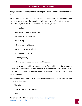that your child is suffering from anxiety or panic attacks, then it is time to look for help.

Anxiety attacks are a disorder and they need to be dealt with appropriately. There are many signs which will help you identify if your child is suffering from an anxiety attack. You might start noticing any of the following symptoms:

- Bed wetting
- Feeling fearful and panicky too often
- Throwing temper tantrums
- Fits of crying
- Suffering from nightmares
- Not wanting to go to school
- Lack of self confidence
- Becoming too shy
- Suffering from frequent stomach and headaches

Sometimes it can be decidedly tricky to know if your child is having a panic or anxiety attack. Many of the symptoms are also related to the normal behavior of a growing child. However, as a parent you know if your child suddenly starts acting out of character.

During a panic attack your child will exhibit different feelings and these can be seen in the following ways:

- Throwing up
- Experiencing stomach cramps
- Shaking

Diana Walker Healthy Lifestyles [www.diana1.com/anxiety](http://www.diana1.com/anxiety) [sunridermom@gmail.com](mailto:sunridermom@gmail.com)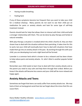- Having trouble breathing
- Feeling faint

If any of these symptoms become too frequent then you want to take your child for a medical checkup. Many parents do not want to see their child put on medication for panic or anxiety attacks and look for some type of self-help treatment instead.

Parents should look for help that allows them to interact with their child and build a stronger relationship with them. This can be done by play therapy and herbal or natural remedies.

With play therapy a situation is invoked which the child is fearful of, they are then shown how to deal with the situation without them panicking. It takes time for this to work, but your child will eventually learn how to deal with situations that have made them go into an anxiety attack in the past. By working through this with your child, you are developing trust and a tight bond will be formed.

Lavender is a common herb which is known to be a relaxant and has been shown to help reduce panic and anxiety attacks. St. John's Wart is another popular herbal remedy.

Remember your child needs to learn how to deal with their anxiety attacks and as the parent you need to stay calm and help them through their ordeal. Before you know it the attacks will become less severe and your child will be more relaxed and happy again.

## <span id="page-9-0"></span>**Anxiety Attacks and Teens**

Sometimes we forget that teens can easily suffer from anxiety attacks too. We may look at them as having great social lives but we forget about the stress that this can cause them.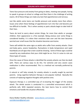Teens face pressure and anxiety from going on dates, meeting new people, having to speak in groups at school or college and then there is the challenge of writing exams. All of these things can make any teen feel apprehensive and nervous.

Just like adults some teens can handle pressure and anxiety more than others. Issues arise when these feelings of apprehension turn into fear and become just too difficult to handle. This is when anxiety or panic attacks begin to take hold of their lives.

Teens do tend to worry about certain things, far more than adults or younger children, their appearance is a fine example. Being anxious over some things is considered healthy. It is when their emotions take over and the teen becomes worried over small issues that the situation becomes worrisome.

Teens will exhibit the same signs as adults who suffer from anxiety attacks. Chest and body pains, severe headaches, fluctuations in body temperature and rapid heartbeats are all signs that a teen could be showing. Some of these signs could be caused by any medications that your child might be on. First it is wise to rule out these types of causes.

Once the cause of these attacks is identified the anxiety attacks can then be dealt with. There are various ways to do this. For extreme and very severe cases medication is often recommended. This is a method not normally preferred by parents.

A natural or self help remedy for anxiety attacks is usually sought by worried parents. Using cognitive behavior therapy is one popular method. Basically this consists of replacing negative thoughts with positive ones.

Exposure therapy is a controlled way of re-enacting the trigger of the anxiety attack. The whole session is conducted in a controlled environment which is perfectly safe. With repeated sessions, the teen learns how to control their emotions and handle the situation effectively.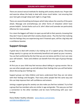There are several natural methods for dealing with anxiety attacks too. Proper diet and exercise allows the body to deal with stress much better. Just ensuring that your teen gets enough sleep each night is a huge help.

There are several breathing techniques which help reduce the severity of the panic attack. Massage and aromatherapy are other forms of relaxation which have proven helpful. Certain herbs such as St. John's Wart and Lavender are particularly effective for many people.

For a teen the biggest self-help is to open up and talk to their parents, knowing that they don't have to deal with their anxiety attacks alone. Plus the fact that realizing that the feelings they are experiencing aren't frowned upon, will be a big help and a confidence booster.

# <span id="page-11-0"></span>**Support Groups**

A good way to deal with anxiety is by making use of a support group. Discussing things openly in a group can be extremely beneficial and speed up your recovery. You can feel comforted by the fact that you are not alone and this in turn can raise your self-esteem. Teens and children can benefit from this type of group therapy as well.

At first you or your child may feel nervous about talking in a group session. But as you see other people open up and talk about their feelings then you will feel better about discussing your feelings too.

Support groups can help children and teens understand that they are not alone with their feelings and thoughts. That many other people feel the same way and this can help improve their self-confidence and esteem.

Joining a support group for anxiety can also make you feel less isolated. Try to find a group that has members who are similar in age and gender. This way you can feel a connection to the other members and be more forthcoming with your own feelings.